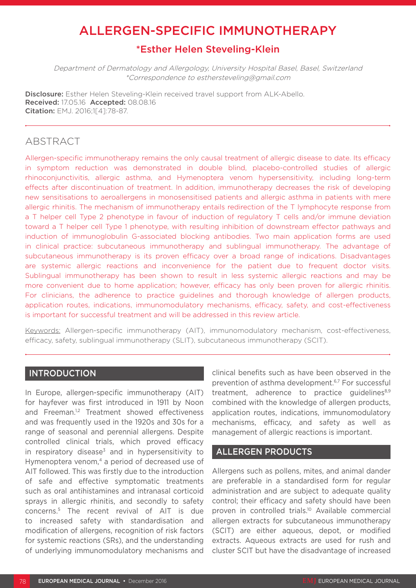# ALLERGEN-SPECIFIC IMMUNOTHERAPY

# \*Esther Helen Steveling-Klein

Department of Dermatology and Allergology, University Hospital Basel, Basel, Switzerland \*Correspondence to esthersteveling@gmail.com

Disclosure: Esther Helen Steveling-Klein received travel support from ALK-Abello. Received: 17.05.16 Accepted: 08.08.16 Citation: EMJ. 2016;1[4]:78-87.

# ABSTRACT

Allergen-specific immunotherapy remains the only causal treatment of allergic disease to date. Its efficacy in symptom reduction was demonstrated in double blind, placebo-controlled studies of allergic rhinoconjunctivitis, allergic asthma, and Hymenoptera venom hypersensitivity, including long-term effects after discontinuation of treatment. In addition, immunotherapy decreases the risk of developing new sensitisations to aeroallergens in monosensitised patients and allergic asthma in patients with mere allergic rhinitis. The mechanism of immunotherapy entails redirection of the T lymphocyte response from a T helper cell Type 2 phenotype in favour of induction of regulatory T cells and/or immune deviation toward a T helper cell Type 1 phenotype, with resulting inhibition of downstream effector pathways and induction of immunoglobulin G-associated blocking antibodies. Two main application forms are used in clinical practice: subcutaneous immunotherapy and sublingual immunotherapy. The advantage of subcutaneous immunotherapy is its proven efficacy over a broad range of indications. Disadvantages are systemic allergic reactions and inconvenience for the patient due to frequent doctor visits. Sublingual immunotherapy has been shown to result in less systemic allergic reactions and may be more convenient due to home application; however, efficacy has only been proven for allergic rhinitis. For clinicians, the adherence to practice guidelines and thorough knowledge of allergen products, application routes, indications, immunomodulatory mechanisms, efficacy, safety, and cost-effectiveness is important for successful treatment and will be addressed in this review article.

Keywords: Allergen-specific immunotherapy (AIT), immunomodulatory mechanism, cost-effectiveness, efficacy, safety, sublingual immunotherapy (SLIT), subcutaneous immunotherapy (SCIT).

# INTRODUCTION

In Europe, allergen-specific immunotherapy (AIT) for hayfever was first introduced in 1911 by Noon and Freeman.<sup>1,2</sup> Treatment showed effectiveness and was frequently used in the 1920s and 30s for a range of seasonal and perennial allergens. Despite controlled clinical trials, which proved efficacy in respiratory disease<sup>3</sup> and in hypersensitivity to Hymenoptera venom,<sup>4</sup> a period of decreased use of AIT followed. This was firstly due to the introduction of safe and effective symptomatic treatments such as oral antihistamines and intranasal corticoid sprays in allergic rhinitis, and secondly to safety concerns.5 The recent revival of AIT is due to increased safety with standardisation and modification of allergens, recognition of risk factors for systemic reactions (SRs), and the understanding of underlying immunomodulatory mechanisms and clinical benefits such as have been observed in the prevention of asthma development.<sup>6,7</sup> For successful treatment, adherence to practice guidelines $8,9$ combined with the knowledge of allergen products, application routes, indications, immunomodulatory mechanisms, efficacy, and safety as well as management of allergic reactions is important.

# ALLERGEN PRODUCTS

Allergens such as pollens, mites, and animal dander are preferable in a standardised form for regular administration and are subject to adequate quality control; their efficacy and safety should have been proven in controlled trials.<sup>10</sup> Available commercial allergen extracts for subcutaneous immunotherapy (SCIT) are either aqueous, depot, or modified extracts. Aqueous extracts are used for rush and cluster SCIT but have the disadvantage of increased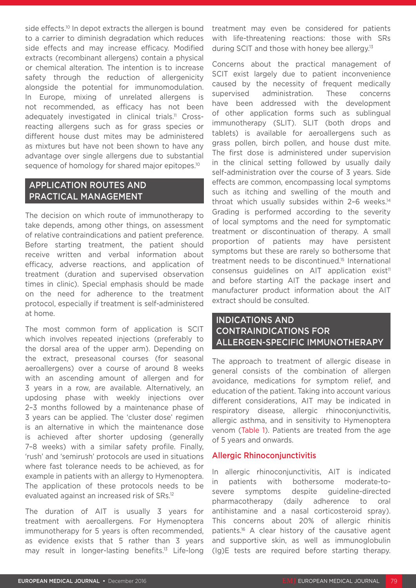side effects.<sup>10</sup> In depot extracts the allergen is bound to a carrier to diminish degradation which reduces side effects and may increase efficacy. Modified extracts (recombinant allergens) contain a physical or chemical alteration. The intention is to increase safety through the reduction of allergenicity alongside the potential for immunomodulation. In Europe, mixing of unrelated allergens is not recommended, as efficacy has not been adequately investigated in clinical trials.<sup>11</sup> Crossreacting allergens such as for grass species or different house dust mites may be administered as mixtures but have not been shown to have any advantage over single allergens due to substantial sequence of homology for shared major epitopes.<sup>10</sup>

# APPLICATION ROUTES AND PRACTICAL MANAGEMENT

The decision on which route of immunotherapy to take depends, among other things, on assessment of relative contraindications and patient preference. Before starting treatment, the patient should receive written and verbal information about efficacy, adverse reactions, and application of treatment (duration and supervised observation times in clinic). Special emphasis should be made on the need for adherence to the treatment protocol, especially if treatment is self-administered at home.

The most common form of application is SCIT which involves repeated injections (preferably to the dorsal area of the upper arm). Depending on the extract, preseasonal courses (for seasonal aeroallergens) over a course of around 8 weeks with an ascending amount of allergen and for 3 years in a row, are available. Alternatively, an updosing phase with weekly injections over 2–3 months followed by a maintenance phase of 3 years can be applied. The 'cluster dose' regimen is an alternative in which the maintenance dose is achieved after shorter updosing (generally 7–8 weeks) with a similar safety profile. Finally, 'rush' and 'semirush' protocols are used in situations where fast tolerance needs to be achieved, as for example in patients with an allergy to Hymenoptera. The application of these protocols needs to be evaluated against an increased risk of SRs.12

The duration of AIT is usually 3 years for treatment with aeroallergens. For Hymenoptera immunotherapy for 5 years is often recommended, as evidence exists that 5 rather than 3 years may result in longer-lasting benefits.<sup>13</sup> Life-long

treatment may even be considered for patients with life-threatening reactions: those with SRs during SCIT and those with honey bee allergy.<sup>13</sup>

Concerns about the practical management of SCIT exist largely due to patient inconvenience caused by the necessity of frequent medically supervised administration. These concerns have been addressed with the development of other application forms such as sublingual immunotherapy (SLIT). SLIT (both drops and tablets) is available for aeroallergens such as grass pollen, birch pollen, and house dust mite. The first dose is administered under supervision in the clinical setting followed by usually daily self-administration over the course of 3 years. Side effects are common, encompassing local symptoms such as itching and swelling of the mouth and throat which usually subsides within 2-6 weeks.<sup>14</sup> Grading is performed according to the severity of local symptoms and the need for symptomatic treatment or discontinuation of therapy. A small proportion of patients may have persistent symptoms but these are rarely so bothersome that treatment needs to be discontinued.15 International consensus guidelines on AIT application exist<sup>11</sup> and before starting AIT the package insert and manufacturer product information about the AIT extract should be consulted.

# INDICATIONS AND CONTRAINDICATIONS FOR ALLERGEN-SPECIFIC IMMUNOTHERAPY

The approach to treatment of allergic disease in general consists of the combination of allergen avoidance, medications for symptom relief, and education of the patient. Taking into account various different considerations, AIT may be indicated in respiratory disease, allergic rhinoconjunctivitis, allergic asthma, and in sensitivity to Hymenoptera venom (Table 1). Patients are treated from the age of 5 years and onwards.

### Allergic Rhinoconjunctivitis

In allergic rhinoconjunctivitis, AIT is indicated in patients with bothersome moderate-tosevere symptoms despite guideline-directed pharmacotherapy (daily adherence to oral antihistamine and a nasal corticosteroid spray). This concerns about 20% of allergic rhinitis patients.<sup>16</sup> A clear history of the causative agent and supportive skin, as well as immunoglobulin (Ig)E tests are required before starting therapy.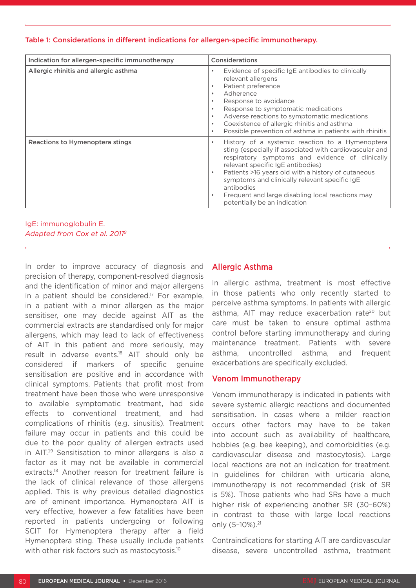### Table 1: Considerations in different indications for allergen-specific immunotherapy.

| Indication for allergen-specific immunotherapy | Considerations                                                                                                                                                                                                                                                                                                                                                                                                                                     |
|------------------------------------------------|----------------------------------------------------------------------------------------------------------------------------------------------------------------------------------------------------------------------------------------------------------------------------------------------------------------------------------------------------------------------------------------------------------------------------------------------------|
| Allergic rhinitis and allergic asthma          | Evidence of specific IgE antibodies to clinically<br>$\bullet$<br>relevant allergens<br>Patient preference<br>$\bullet$<br>Adherence<br>$\bullet$<br>Response to avoidance<br>$\bullet$<br>Response to symptomatic medications<br>$\bullet$<br>Adverse reactions to symptomatic medications<br>$\bullet$<br>Coexistence of allergic rhinitis and asthma<br>$\bullet$<br>Possible prevention of asthma in patients with rhinitis<br>$\bullet$       |
| Reactions to Hymenoptera stings                | History of a systemic reaction to a Hymenoptera<br>$\bullet$<br>sting (especially if associated with cardiovascular and<br>respiratory symptoms and evidence of clinically<br>relevant specific IgE antibodies)<br>Patients >16 years old with a history of cutaneous<br>$\bullet$<br>symptoms and clinically relevant specific IgE<br>antibodies<br>Frequent and large disabling local reactions may<br>$\bullet$<br>potentially be an indication |

IgE: immunoglobulin E. *Adapted from Cox et al. 20119*

In order to improve accuracy of diagnosis and precision of therapy, component-resolved diagnosis and the identification of minor and major allergens in a patient should be considered.<sup>17</sup> For example, in a patient with a minor allergen as the major sensitiser, one may decide against AIT as the commercial extracts are standardised only for major allergens, which may lead to lack of effectiveness of AIT in this patient and more seriously, may result in adverse events.18 AIT should only be considered if markers of specific genuine sensitisation are positive and in accordance with clinical symptoms. Patients that profit most from treatment have been those who were unresponsive to available symptomatic treatment, had side effects to conventional treatment, and had complications of rhinitis (e.g. sinusitis). Treatment failure may occur in patients and this could be due to the poor quality of allergen extracts used in AIT.19 Sensitisation to minor allergens is also a factor as it may not be available in commercial extracts.18 Another reason for treatment failure is the lack of clinical relevance of those allergens applied. This is why previous detailed diagnostics are of eminent importance. Hymenoptera AIT is very effective, however a few fatalities have been reported in patients undergoing or following SCIT for Hymenoptera therapy after a field Hymenoptera sting. These usually include patients with other risk factors such as mastocytosis.<sup>10</sup>

# Allergic Asthma

In allergic asthma, treatment is most effective in those patients who only recently started to perceive asthma symptoms. In patients with allergic asthma, AIT may reduce exacerbation rate<sup>20</sup> but care must be taken to ensure optimal asthma control before starting immunotherapy and during maintenance treatment. Patients with severe asthma, uncontrolled asthma, and frequent exacerbations are specifically excluded.

### Venom Immunotherapy

Venom immunotherapy is indicated in patients with severe systemic allergic reactions and documented sensitisation. In cases where a milder reaction occurs other factors may have to be taken into account such as availability of healthcare, hobbies (e.g. bee keeping), and comorbidities (e.g. cardiovascular disease and mastocytosis). Large local reactions are not an indication for treatment. In guidelines for children with urticaria alone, immunotherapy is not recommended (risk of SR is 5%). Those patients who had SRs have a much higher risk of experiencing another SR (30–60%) in contrast to those with large local reactions only (5-10%).<sup>21</sup>

Contraindications for starting AIT are cardiovascular disease, severe uncontrolled asthma, treatment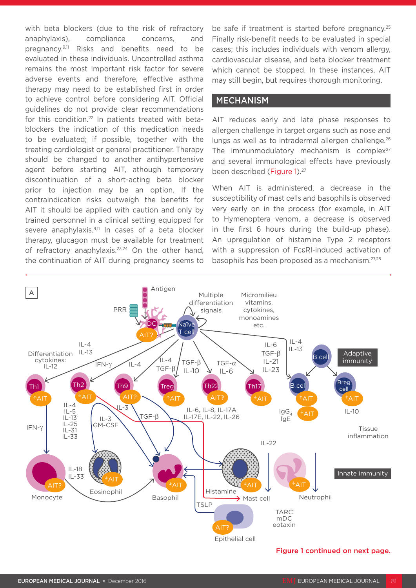with beta blockers (due to the risk of refractory anaphylaxis), compliance concerns, and pregnancy.9,11 Risks and benefits need to be evaluated in these individuals. Uncontrolled asthma remains the most important risk factor for severe adverse events and therefore, effective asthma therapy may need to be established first in order to achieve control before considering AIT. Official guidelines do not provide clear recommendations for this condition.<sup>22</sup> In patients treated with betablockers the indication of this medication needs to be evaluated; if possible, together with the treating cardiologist or general practitioner. Therapy should be changed to another antihypertensive agent before starting AIT, athough temporary discontinuation of a short-acting beta blocker prior to injection may be an option. If the contraindication risks outweigh the benefits for AIT it should be applied with caution and only by trained personnel in a clinical setting equipped for severe anaphylaxis.<sup>9,11</sup> In cases of a beta blocker therapy, glucagon must be available for treatment of refractory anaphylaxis.<sup>23,24</sup> On the other hand, the continuation of AIT during pregnancy seems to

be safe if treatment is started before pregnancy.<sup>25</sup> Finally risk-benefit needs to be evaluated in special cases; this includes individuals with venom allergy, cardiovascular disease, and beta blocker treatment which cannot be stopped. In these instances, AIT may still begin, but requires thorough monitoring.

### MECHANISM

AIT reduces early and late phase responses to allergen challenge in target organs such as nose and lungs as well as to intradermal allergen challenge.<sup>26</sup> The immunmodulatory mechanism is complex $27$ and several immunological effects have previously been described (Figure 1).<sup>27</sup>

When AIT is administered, a decrease in the susceptibility of mast cells and basophils is observed very early on in the process (for example, in AIT to Hymenoptera venom, a decrease is observed in the first 6 hours during the build-up phase). An upregulation of histamine Type 2 receptors with a suppression of FcεRI-induced activation of basophils has been proposed as a mechanism.27,28



#### Figure 1 continued on next page.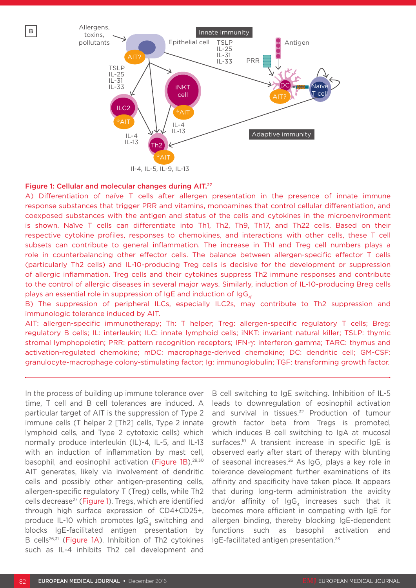

#### Figure 1: Cellular and molecular changes during AIT.27

B

A) Differentiation of naïve T cells after allergen presentation in the presence of innate immune response substances that trigger PRR and vitamins, monoamines that control cellular differentiation, and coexposed substances with the antigen and status of the cells and cytokines in the microenvironment is shown. Naïve T cells can differentiate into Th1, Th2, Th9, Th17, and Th22 cells. Based on their respective cytokine profiles, responses to chemokines, and interactions with other cells, these T cell subsets can contribute to general inflammation. The increase in Th1 and Treg cell numbers plays a role in counterbalancing other effector cells. The balance between allergen-specific effector T cells (particularly Th2 cells) and IL-10-producing Treg cells is decisive for the development or suppression of allergic inflammation. Treg cells and their cytokines suppress Th2 immune responses and contribute to the control of allergic diseases in several major ways. Similarly, induction of IL-10-producing Breg cells plays an essential role in suppression of IgE and induction of IgG<sub>4</sub>.

B) The suppression of peripheral ILCs, especially ILC2s, may contribute to Th2 suppression and immunologic tolerance induced by AIT.

AIT: allergen-specific immunotherapy; Th: T helper; Treg: allergen-specific regulatory T cells; Breg: regulatory B cells; IL: interleukin; ILC: innate lymphoid cells; iNKT: invariant natural killer; TSLP: thymic stromal lymphopoietin; PRR: pattern recognition receptors; IFN-γ: interferon gamma; TARC: thymus and activation-regulated chemokine; mDC: macrophage-derived chemokine; DC: dendritic cell; GM-CSF: granulocyte-macrophage colony-stimulating factor; Ig: immunoglobulin; TGF: transforming growth factor.

In the process of building up immune tolerance over time, T cell and B cell tolerances are induced. A particular target of AIT is the suppression of Type 2 immune cells (T helper 2 [Th2] cells, Type 2 innate lymphoid cells, and Type 2 cytotoxic cells) which normally produce interleukin (IL)-4, IL-5, and IL-13 with an induction of inflammation by mast cell, basophil, and eosinophil activation (Figure 1B).<sup>29,30</sup> AIT generates, likely via involvement of dendritic cells and possibly other antigen-presenting cells, allergen-specific regulatory T (Treg) cells, while Th2 cells decrease<sup>27</sup> (Figure 1). Tregs, which are identified through high surface expression of CD4+CD25+, produce IL-10 which promotes  $\text{IgG}_{4}$  switching and blocks IgE-facilitated antigen presentation by B cells<sup>26,31</sup> (Figure 1A). Inhibition of Th2 cytokines such as IL-4 inhibits Th2 cell development and

B cell switching to IgE switching. Inhibition of IL-5 leads to downregulation of eosinophil activation and survival in tissues.<sup>32</sup> Production of tumour growth factor beta from Tregs is promoted, which induces B cell switching to IgA at mucosal surfaces.<sup>10</sup> A transient increase in specific IgE is observed early after start of therapy with blunting of seasonal increases.<sup>26</sup> As  $\log G$ , plays a key role in tolerance development further examinations of its affinity and specificity have taken place. It appears that during long-term administration the avidity and/or affinity of  $\log_4$  increases such that it becomes more efficient in competing with IgE for allergen binding, thereby blocking IgE-dependent functions such as basophil activation and IgE-facilitated antigen presentation.33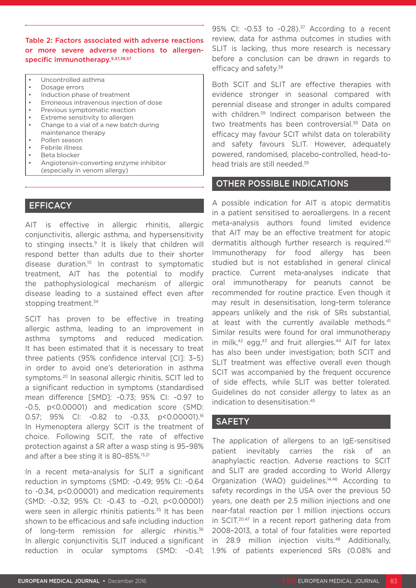Table 2: Factors associated with adverse reactions or more severe adverse reactions to allergenspecific immunotherapy.9,37,38,57

- Uncontrolled asthma
- Dosage errors
- Induction phase of treatment
- Erroneous intravenous injection of dose
- Previous symptomatic reaction
- Extreme sensitivity to allergen
- Change to a vial of a new batch during maintenance therapy
- Pollen season
- Febrile illness
- Beta blocker
- Angiotensin-converting enzyme inhibitor (especially in venom allergy)

# **EFFICACY**

AIT is effective in allergic rhinitis, allergic conjunctivitis, allergic asthma, and hypersensitivity to stinging insects.9 It is likely that children will respond better than adults due to their shorter disease duration.10 In contrast to symptomatic treatment, AIT has the potential to modify the pathophysiological mechanism of allergic disease leading to a sustained effect even after stopping treatment.<sup>34</sup>

SCIT has proven to be effective in treating allergic asthma, leading to an improvement in asthma symptoms and reduced medication. It has been estimated that it is necessary to treat three patients (95% confidence interval [CI]: 3–5) in order to avoid one's deterioration in asthma symptoms.<sup>20</sup> In seasonal allergic rhinitis, SCIT led to a significant reduction in symptoms (standardised mean difference [SMD]: -0.73; 95% CI: -0.97 to -0.5, p<0.00001) and medication score (SMD: 0.57; 95% CI: -0.82 to -0.33, p<0.00001).16 In Hymenoptera allergy SCIT is the treatment of choice. Following SCIT, the rate of effective protection against a SR after a wasp sting is 95–98% and after a bee sting it is 80–85%.13,21

In a recent meta-analysis for SLIT a significant reduction in symptoms (SMD: -0.49; 95% CI: -0.64 to -0.34, p<0.00001) and medication requirements (SMD: -0.32; 95% CI: -0.43 to -0.21, p<0.00001) were seen in allergic rhinitis patients.<sup>35</sup> It has been shown to be efficacious and safe including induction of long-term remission for allergic rhinitis.<sup>36</sup> In allergic conjunctivitis SLIT induced a significant reduction in ocular symptoms (SMD: -0.41; 95% CI: -0.53 to -0.28).<sup>37</sup> According to a recent review, data for asthma outcomes in studies with SLIT is lacking, thus more research is necessary before a conclusion can be drawn in regards to efficacy and safety.<sup>38</sup>

Both SCIT and SLIT are effective therapies with evidence stronger in seasonal compared with perennial disease and stronger in adults compared with children.<sup>39</sup> Indirect comparison between the two treatments has been controversial.<sup>39</sup> Data on efficacy may favour SCIT whilst data on tolerability and safety favours SLIT. However, adequately powered, randomised, placebo-controlled, head-tohead trials are still needed.<sup>39</sup>

### OTHER POSSIBLE INDICATIONS

A possible indication for AIT is atopic dermatitis in a patient sensitised to aeroallergens. In a recent meta-analysis authors found limited evidence that AIT may be an effective treatment for atopic dermatitis although further research is required.<sup>40</sup> Immunotherapy for food allergy has been studied but is not established in general clinical practice. Current meta-analyses indicate that oral immunotherapy for peanuts cannot be recommended for routine practice. Even though it may result in desensitisation, long-term tolerance appears unlikely and the risk of SRs substantial, at least with the currently available methods.<sup>41</sup> Similar results were found for oral immunotherapy in milk, $42$  egg, $43$  and fruit allergies. $44$  AIT for latex has also been under investigation; both SCIT and SLIT treatment was effective overall even though SCIT was accompanied by the frequent occurence of side effects, while SLIT was better tolerated. Guidelines do not consider allergy to latex as an indication to desensitisation.45

### **SAFETY**

The application of allergens to an IgE-sensitised patient inevitably carries the risk of an anaphylactic reaction. Adverse reactions to SCIT and SLIT are graded according to World Allergy Organization (WAO) guidelines.<sup>14,46</sup> According to safety recordings in the USA over the previous 50 years, one death per 2.5 million injections and one near-fatal reaction per 1 million injections occurs in SCIT.20,47 In a recent report gathering data from 2008–2013, a total of four fatalities were reported in 28.9 million injection visits.48 Additionally, 1.9% of patients experienced SRs (0.08% and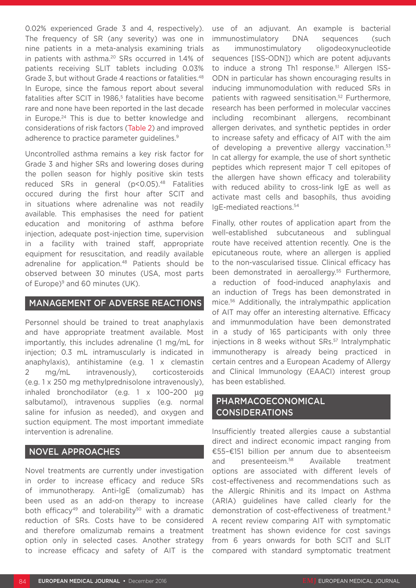0.02% experienced Grade 3 and 4, respectively). The frequency of SR (any severity) was one in nine patients in a meta-analysis examining trials in patients with asthma.<sup>20</sup> SRs occurred in 1.4% of patients receiving SLIT tablets including 0.03% Grade 3, but without Grade 4 reactions or fatalities.<sup>48</sup> In Europe, since the famous report about several fatalities after SCIT in 1986,<sup>5</sup> fatalities have become rare and none have been reported in the last decade in Europe.<sup>24</sup> This is due to better knowledge and considerations of risk factors (Table 2) and improved adherence to practice parameter guidelines.<sup>9</sup>

Uncontrolled asthma remains a key risk factor for Grade 3 and higher SRs and lowering doses during the pollen season for highly positive skin tests reduced SRs in general (p<0.05).48 Fatalities occured during the first hour after SCIT and in situations where adrenaline was not readily available. This emphasises the need for patient education and monitoring of asthma before injection, adequate post-injection time, supervision in a facility with trained staff, appropriate equipment for resuscitation, and readily available adrenaline for application.48 Patients should be observed between 30 minutes (USA, most parts of Europe) $9$  and 60 minutes (UK).

# MANAGEMENT OF ADVERSE REACTIONS

Personnel should be trained to treat anaphylaxis and have appropriate treatment available. Most importantly, this includes adrenaline (1 mg/mL for injection; 0.3 mL intramuscularly is indicated in anaphylaxis), antihistamine (e.g. 1 x clemastin 2 mg/mL intravenously), corticosteroids (e.g. 1 x 250 mg methylprednisolone intravenously), inhaled bronchodilator (e.g. 1 x 100–200 µg salbutamol), intravenous supplies (e.g. normal saline for infusion as needed), and oxygen and suction equipment. The most important immediate intervention is adrenaline.

# NOVEL APPROACHES

Novel treatments are currently under investigation in order to increase efficacy and reduce SRs of immunotherapy. Anti-IgE (omalizumab) has been used as an add-on therapy to increase both efficacy<sup>49</sup> and tolerability<sup>50</sup> with a dramatic reduction of SRs. Costs have to be considered and therefore omalizumab remains a treatment option only in selected cases. Another strategy to increase efficacy and safety of AIT is the use of an adjuvant. An example is bacterial immunostimulatory DNA sequences (such as immunostimulatory oligodeoxynucleotide sequences [ISS-ODN]) which are potent adjuvants to induce a strong Th1 response.<sup>51</sup> Allergen ISS-ODN in particular has shown encouraging results in inducing immunomodulation with reduced SRs in patients with ragweed sensitisation.<sup>52</sup> Furthermore, research has been performed in molecular vaccines including recombinant allergens, recombinant allergen derivates, and synthetic peptides in order to increase safety and efficacy of AIT with the aim of developing a preventive allergy vaccination.<sup>53</sup> In cat allergy for example, the use of short synthetic peptides which represent major T cell epitopes of the allergen have shown efficacy and tolerability with reduced ability to cross-link IgE as well as activate mast cells and basophils, thus avoiding IgE-mediated reactions.54

Finally, other routes of application apart from the well-established subcutaneous and sublingual route have received attention recently. One is the epicutaneous route, where an allergen is applied to the non-vascularised tissue. Clinical efficacy has been demonstrated in aeroallergy.<sup>55</sup> Furthermore, a reduction of food-induced anaphylaxis and an induction of Tregs has been demonstrated in mice.56 Additionally, the intralympathic application of AIT may offer an interesting alternative. Efficacy and immunmodulation have been demonstrated in a study of 165 participants with only three injections in 8 weeks without SRs.<sup>57</sup> Intralymphatic immunotherapy is already being practiced in certain centres and a European Academy of Allergy and Clinical Immunology (EAACI) interest group has been established.

# PHARMACOECONOMICAL CONSIDERATIONS

Insufficiently treated allergies cause a substantial direct and indirect economic impact ranging from €55–€151 billion per annum due to absenteeism and presenteeism.58 Available treatment options are associated with different levels of cost-effectiveness and recommendations such as the Allergic Rhinitis and its Impact on Asthma (ARIA) guidelines have called clearly for the demonstration of cost-effectiveness of treatment.8 A recent review comparing AIT with symptomatic treatment has shown evidence for cost savings from 6 years onwards for both SCIT and SLIT compared with standard symptomatic treatment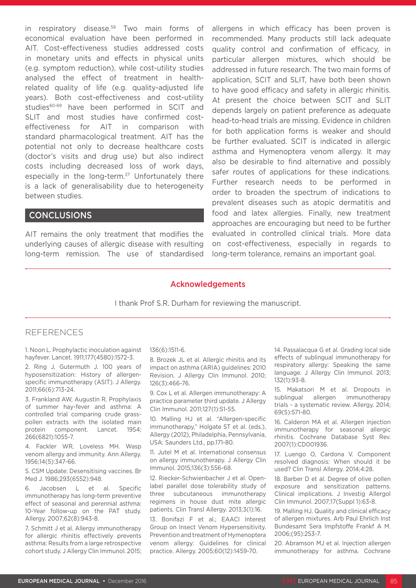in respiratory disease.<sup>59</sup> Two main forms of economical evaluation have been performed in AIT. Cost-effectiveness studies addressed costs in monetary units and effects in physical units (e.g. symptom reduction), while cost-utility studies analysed the effect of treatment in healthrelated quality of life (e.g. quality-adjusted life years). Both cost-effectiveness and cost-utility studies<sup>60-69</sup> have been performed in SCIT and SLIT and most studies have confirmed costeffectiveness for AIT in comparison with standard pharmacological treatment. AIT has the potential not only to decrease healthcare costs (doctor's visits and drug use) but also indirect costs including decreased loss of work days, especially in the long-term.<sup>27</sup> Unfortunately there is a lack of generalisability due to heterogeneity between studies.

# **CONCLUSIONS**

AIT remains the only treatment that modifies the underlying causes of allergic disease with resulting long-term remission. The use of standardised allergens in which efficacy has been proven is recommended. Many products still lack adequate quality control and confirmation of efficacy, in particular allergen mixtures, which should be addressed in future research. The two main forms of application, SCIT and SLIT, have both been shown to have good efficacy and safety in allergic rhinitis. At present the choice between SCIT and SLIT depends largely on patient preference as adequate head-to-head trials are missing. Evidence in children for both application forms is weaker and should be further evaluated. SCIT is indicated in allergic asthma and Hymenoptera venom allergy. It may also be desirable to find alternative and possibly safer routes of applications for these indications. Further research needs to be performed in order to broaden the spectrum of indications to prevalent diseases such as atopic dermatitis and food and latex allergies. Finally, new treatment approaches are encouraging but need to be further evaluated in controlled clinical trials. More data on cost-effectiveness, especially in regards to long-term tolerance, remains an important goal.

# Acknowledgements

I thank Prof S.R. Durham for reviewing the manuscript.

### REFERENCES

1. Noon L. Prophylactic inoculation against hayfever. Lancet. 1911;177(4580):1572-3.

2. Ring J, Gutermuth J. 100 years of hyposensitization: History of allergenspecific immunotherapy (ASIT). J Allergy. 2011;66(6):713-24.

3. Frankland AW, Augustin R. Prophylaxis of summer hay-fever and asthma: A controlled trial comparing crude grasspollen extracts with the isolated main protein component. Lancet. 1954; 266(6821):1055-7.

4. Fackler WR, Loveless MH. Wasp venom allergy and immunity. Ann Allergy. 1956;14(5):347-66.

5. CSM Update: Desensitising vaccines. Br Med J. 1986;293(6552):948.

6. Jacobsen L et al. Specific immunotherapy has long-term preventive effect of seasonal and perennial asthma: 10-Year follow-up on the PAT study. Allergy. 2007;62(8):943-8.

7. Schmitt J et al. Allergy immunotherapy for allergic rhinitis effectively prevents asthma: Results from a large retrospective cohort study. J Allergy Clin Immunol. 2015;

#### 136(6):1511-6.

8. Brozek JL et al. Allergic rhinitis and its impact on asthma (ARIA) guidelines: 2010 Revision. J Allergy Clin Immunol. 2010; 126(3):466-76.

9. Cox L et al. Allergen immunotherapy: A practice parameter third update. J Allergy Clin Immunol. 2011;127(1):S1-55.

10. Malling HJ et al. "Allergen-specific immunotherapy," Holgate ST et al. (eds.), Allergy (2012), Philadelphia, Pennsylvania, USA: Saunders Ltd., pp.171-80.

11. Jutel M et al. International consensus on allergy immunotherapy. J Allergy Clin Immunol. 2015;136(3):556-68.

12. Riecker-Schwienbacher J et al. Openlabel parallel dose tolerability study of three subcutaneous immunotherapy regimens in house dust mite allergic patients. Clin Transl Allergy. 2013;3(1):16.

13. Bonifazi F et al.; EAACI Interest Group on Insect Venom Hypersensitivity. Prevention and treatment of Hymenoptera venom allergy: Guidelines for clinical practice. Allergy. 2005;60(12):1459-70.

14. Passalacqua G et al. Grading local side effects of sublingual immunotherapy for respiratory allergy: Speaking the same language. J Allergy Clin Immunol. 2013; 132(1):93-8.

15. Makatsori M et al. Dropouts in sublingual allergen immunotherapy trials - a systematic review. Allergy. 2014; 69(5):571-80.

16. Calderon MA et al. Allergen injection immunotherapy for seasonal allergic rhinitis. Cochrane Database Syst Rev. 2007(1):CD001936.

17. Luengo O, Cardona V. Component resolved diagnosis: When should it be used? Clin Transl Allergy. 2014;4:28.

18. Barber D et al. Degree of olive pollen exposure and sensitization patterns. Clinical implications. J Investig Allergol Clin Immunol. 2007;17(Suppl 1):63-8.

19. Malling HJ. Quality and clinical efficacy of allergen mixtures. Arb Paul Ehrlich Inst Bundesamt Sera Impfstoffe Frankf A M. 2006;(95):253-7.

20. Abramson MJ et al. Injection allergen immunotherapy for asthma. Cochrane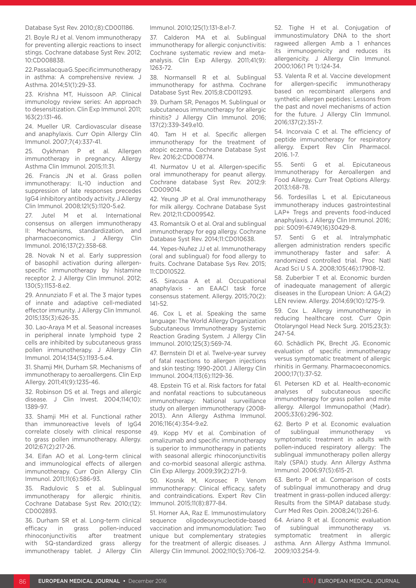#### Database Syst Rev. 2010;(8):CD001186.

21. Boyle RJ et al. Venom immunotherapy for preventing allergic reactions to insect stings. Cochrane database Syst Rev. 2012; 10:CD008838.

22. Passalacqua G. Specific immunotherapy in asthma: A comprehensive review. J Asthma. 2014;51(1):29-33.

23. Krishna MT, Huissoon AP. Clinical immunology review series: An approach to desensitization. Clin Exp Immunol. 2011; 163(2):131-46.

24. Mueller UR. Cardiovascular disease and anaphylaxis. Curr Opin Allergy Clin Immunol. 2007;7(4):337-41.

25. Oykhman P et al. Allergen immunotherapy in pregnancy. Allergy Asthma Clin Immunol. 2015;11:31.

26. Francis JN et al. Grass pollen immunotherapy: IL-10 induction and suppression of late responses precedes IgG4 inhibitory antibody activity. J Allergy Clin Immunol. 2008;121(5):1120-5.e2.

27. Jutel M et al. International consensus on allergen immunotherapy II: Mechanisms, standardization, and pharmacoeconomics. J Allergy Clin Immunol. 2016;137(2):358-68.

28. Novak N et al. Early suppression of basophil activation during allergenspecific immunotherapy by histamine receptor 2. J Allergy Clin Immunol. 2012; 130(5):1153-8.e2.

29. Annunziato F et al. The 3 major types of innate and adaptive cell-mediated effector immunity. J Allergy Clin Immunol. 2015;135(3):626-35.

30. Lao-Araya M et al. Seasonal increases in peripheral innate lymphoid type 2 cells are inhibited by subcutaneous grass pollen immunotherapy. J Allergy Clin Immunol. 2014;134(5):1193-5.e4.

31. Shamji MH, Durham SR. Mechanisms of immunotherapy to aeroallergens. Clin Exp Allergy. 2011;41(9):1235-46.

32. Robinson DS et al. Tregs and allergic disease. J Clin Invest. 2004;114(10): 1389-97.

33. Shamji MH et al. Functional rather than immunoreactive levels of IgG4 correlate closely with clinical response to grass pollen immunotherapy. Allergy. 2012;67(2):217-26.

34. Eifan AO et al. Long-term clinical and immunological effects of allergen immunotherapy. Curr Opin Allergy Clin Immunol. 2011;11(6):586-93.

35. Radulovic S et al. Sublingual immunotherapy for allergic rhinitis. Cochrane Database Syst Rev. 2010;(12): CD002893.

36. Durham SR et al. Long-term clinical efficacy in grass pollen-induced rhinoconjunctivitis after treatment with SQ-standardized grass allergy immunotherapy tablet. J Allergy Clin Immunol. 2010;125(1):131-8.e1-7.

37. Calderon MA et al. Sublingual immunotherapy for allergic conjunctivitis: Cochrane systematic review and metaanalysis. Clin Exp Allergy. 2011;41(9): 1263-72.

38. Normansell R et al. Sublingual immunotherapy for asthma. Cochrane Database Syst Rev. 2015;8:CD011293.

39. Durham SR, Penagos M. Sublingual or subcutaneous immunotherapy for allergic rhinitis? J Allergy Clin Immunol. 2016; 137(2):339-349.e10.

40. Tam H et al. Specific allergen immunotherapy for the treatment of atopic eczema. Cochrane Database Syst Rev. 2016;2:CD008774.

41. Nurmatov U et al. Allergen-specific oral immunotherapy for peanut allergy. Cochrane database Syst Rev. 2012;9: CD009014.

42. Yeung JP et al. Oral immunotherapy for milk allergy. Cochrane Database Syst Rev. 2012;11:CD009542.

43. Romantsik O et al. Oral and sublingual immunotherapy for egg allergy. Cochrane Database Syst Rev. 2014;11:CD010638.

44. Yepes-Nuñez JJ et al. Immunotherapy (oral and sublingual) for food allergy to fruits. Cochrane Database Sys Rev. 2015; 11:CD010522.

45. Siracusa A et al. Occupational anaphylaxis - an EAACI task force consensus statement. Allergy. 2015;70(2): 141-52.

46. Cox L et al. Speaking the same language: The World Allergy Organization Subcutaneous Immunotherapy Systemic Reaction Grading System. J Allergy Clin Immunol. 2010;125(3):569-74.

47. Bernstein DI et al. Twelve-year survey of fatal reactions to allergen injections and skin testing: 1990-2001. J Allergy Clin Immunol. 2004;113(6):1129-36.

48. Epstein TG et al. Risk factors for fatal and nonfatal reactions to subcutaneous immunotherapy: National surveillance study on allergen immunotherapy (2008- 2013). Ann Allergy Asthma Immunol. 2016;116(4):354-9.e2.

49. Kopp MV et al. Combination of omalizumab and specific immunotherapy is superior to immunotherapy in patients with seasonal allergic rhinoconjunctivitis and co-morbid seasonal allergic asthma. Clin Exp Allergy. 2009;39(2):271-9.

50. Kosnik M, Korosec P. Venom immunotherapy: Clinical efficacy, safety and contraindications. Expert Rev Clin Immunol. 2015;11(8):877-84.

51. Horner AA, Raz E. Immunostimulatory sequence oligodeoxynucleotide-based vaccination and immunomodulation: Two unique but complementary strategies for the treatment of allergic diseases. J Allergy Clin Immunol. 2002;110(5):706-12.

52. Tighe H et al. Conjugation of immunostimulatory DNA to the short ragweed allergen Amb a 1 enhances its immunogenicity and reduces its allergenicity. J Allergy Clin Immunol. 2000;106(1 Pt 1):124-34.

53. Valenta R et al. Vaccine development for allergen-specific immunotherapy based on recombinant allergens and synthetic allergen peptides: Lessons from the past and novel mechanisms of action for the future. J Allergy Clin Immunol. 2016;137(2):351-7.

54. Incorvaia C et al. The efficiency of peptide immunotherapy for respiratory allergy. Expert Rev Clin Pharmacol. 2016. 1-7.

55. Senti G et al. Epicutaneous Immunotherapy for Aeroallergen and Food Allergy. Curr Treat Options Allergy. 2013;1:68-78.

56. Tordesillas L et al. Epicutaneous immunotherapy induces gastrointestinal LAP+ Tregs and prevents food-induced anaphylaxis. J Allergy Clin Immunol. 2016; ppi: S0091-6749(16)30429-8.

57. Senti G et al. Intralymphatic allergen administration renders specific immunotherapy faster and safer: A randomized controlled trial. Proc Natl Acad Sci U S A. 2008;105(46):17908-12.

58. Zuberbier T et al. Economic burden of inadequate management of allergic diseases in the European Union: A GA(2) LEN review. Allergy. 2014;69(10):1275-9.

59. Cox L. Allergy immunotherapy in reducing healthcare cost. Curr Opin Otolaryngol Head Neck Surg. 2015;23(3): 247-54.

60. Schädlich PK, Brecht JG. Economic evaluation of specific immunotherapy versus symptomatic treatment of allergic rhinitis in Germany. Pharmacoeconomics. 2000;17(1):37-52.

61. Petersen KD et al. Health-economic analyses of subcutaneous specific immunotherapy for grass pollen and mite allergy. Allergol Immunopathol (Madr). 2005;33(6):296-302.

62. Berto P et al. Economic evaluation of sublingual immunotherapy vs symptomatic treatment in adults with pollen-induced respiratory allergy: The sublingual immunotherapy pollen allergy Italy (SPAI) study. Ann Allergy Asthma Immunol. 2006;97(5):615-21.

63. Berto P et al. Comparison of costs of sublingual immunotherapy and drug treatment in grass-pollen induced allergy: Results from the SIMAP database study. Curr Med Res Opin. 2008;24(1):261-6.

64. Ariano R et al. Economic evaluation of sublingual immunotherapy vs. symptomatic treatment in allergic asthma. Ann Allergy Asthma Immunol. 2009;103:254-9.